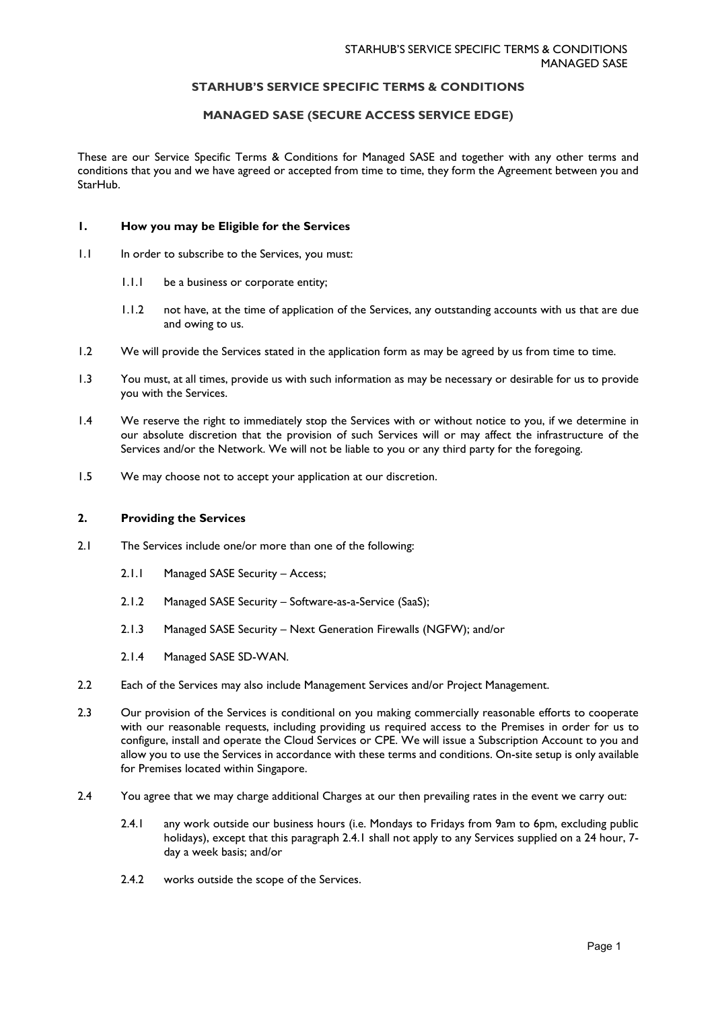# **STARHUB'S SERVICE SPECIFIC TERMS & CONDITIONS**

# **MANAGED SASE (SECURE ACCESS SERVICE EDGE)**

These are our Service Specific Terms & Conditions for Managed SASE and together with any other terms and conditions that you and we have agreed or accepted from time to time, they form the Agreement between you and StarHub.

#### **1. How you may be Eligible for the Services**

- 1.1 In order to subscribe to the Services, you must:
	- 1.1.1 be a business or corporate entity;
	- 1.1.2 not have, at the time of application of the Services, any outstanding accounts with us that are due and owing to us.
- 1.2 We will provide the Services stated in the application form as may be agreed by us from time to time.
- 1.3 You must, at all times, provide us with such information as may be necessary or desirable for us to provide you with the Services.
- 1.4 We reserve the right to immediately stop the Services with or without notice to you, if we determine in our absolute discretion that the provision of such Services will or may affect the infrastructure of the Services and/or the Network. We will not be liable to you or any third party for the foregoing.
- 1.5 We may choose not to accept your application at our discretion.

#### **2. Providing the Services**

- 2.1 The Services include one/or more than one of the following:
	- 2.1.1 Managed SASE Security Access;
	- 2.1.2 Managed SASE Security Software-as-a-Service (SaaS);
	- 2.1.3 Managed SASE Security Next Generation Firewalls (NGFW); and/or
	- 2.1.4 Managed SASE SD-WAN.
- 2.2 Each of the Services may also include Management Services and/or Project Management.
- 2.3 Our provision of the Services is conditional on you making commercially reasonable efforts to cooperate with our reasonable requests, including providing us required access to the Premises in order for us to configure, install and operate the Cloud Services or CPE. We will issue a Subscription Account to you and allow you to use the Services in accordance with these terms and conditions. On-site setup is only available for Premises located within Singapore.
- 2.4 You agree that we may charge additional Charges at our then prevailing rates in the event we carry out:
	- 2.4.1 any work outside our business hours (i.e. Mondays to Fridays from 9am to 6pm, excluding public holidays), except that this paragraph 2.4.1 shall not apply to any Services supplied on a 24 hour, 7 day a week basis; and/or
	- 2.4.2 works outside the scope of the Services.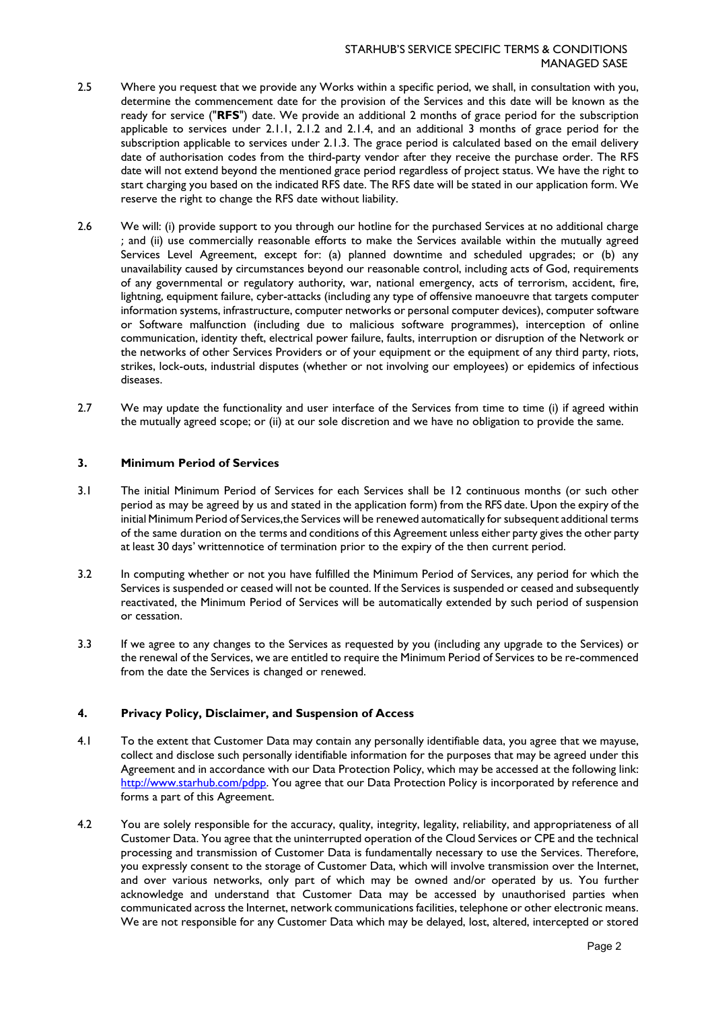- 2.5 Where you request that we provide any Works within a specific period, we shall, in consultation with you, determine the commencement date for the provision of the Services and this date will be known as the ready for service ("**RFS**") date. We provide an additional 2 months of grace period for the subscription applicable to services under 2.1.1, 2.1.2 and 2.1.4, and an additional 3 months of grace period for the subscription applicable to services under 2.1.3. The grace period is calculated based on the email delivery date of authorisation codes from the third-party vendor after they receive the purchase order. The RFS date will not extend beyond the mentioned grace period regardless of project status. We have the right to start charging you based on the indicated RFS date. The RFS date will be stated in our application form. We reserve the right to change the RFS date without liability.
- 2.6 We will: (i) provide support to you through our hotline for the purchased Services at no additional charge ; and (ii) use commercially reasonable efforts to make the Services available within the mutually agreed Services Level Agreement, except for: (a) planned downtime and scheduled upgrades; or (b) any unavailability caused by circumstances beyond our reasonable control, including acts of God, requirements of any governmental or regulatory authority, war, national emergency, acts of terrorism, accident, fire, lightning, equipment failure, cyber-attacks (including any type of offensive manoeuvre that targets computer information systems, infrastructure, computer networks or personal computer devices), computer software or Software malfunction (including due to malicious software programmes), interception of online communication, identity theft, electrical power failure, faults, interruption or disruption of the Network or the networks of other Services Providers or of your equipment or the equipment of any third party, riots, strikes, lock-outs, industrial disputes (whether or not involving our employees) or epidemics of infectious diseases.
- 2.7 We may update the functionality and user interface of the Services from time to time (i) if agreed within the mutually agreed scope; or (ii) at our sole discretion and we have no obligation to provide the same.

# **3. Minimum Period of Services**

- 3.1 The initial Minimum Period of Services for each Services shall be 12 continuous months (or such other period as may be agreed by us and stated in the application form) from the RFS date. Upon the expiry of the initial Minimum Period of Services,the Services will be renewed automatically for subsequent additional terms of the same duration on the terms and conditions of this Agreement unless either party gives the other party at least 30 days' writtennotice of termination prior to the expiry of the then current period.
- 3.2 In computing whether or not you have fulfilled the Minimum Period of Services, any period for which the Services is suspended or ceased will not be counted. If the Services is suspended or ceased and subsequently reactivated, the Minimum Period of Services will be automatically extended by such period of suspension or cessation.
- 3.3 If we agree to any changes to the Services as requested by you (including any upgrade to the Services) or the renewal of the Services, we are entitled to require the Minimum Period of Services to be re-commenced from the date the Services is changed or renewed.

# **4. Privacy Policy, Disclaimer, and Suspension of Access**

- 4.1 To the extent that Customer Data may contain any personally identifiable data, you agree that we mayuse, collect and disclose such personally identifiable information for the purposes that may be agreed under this Agreement and in accordance with our Data [Protection Policy, w](https://www.starhub.com/content/dam/starhub/legal-notices-and-terms/consumer/personal-data-protection-policy.pdf)hich may be accessed at the following link: [http://www.starhub.com/pdpp.](http://www.starhub.com/pdpp) You agree that our Data Protection Policy is incorporated by reference and forms a part of this Agreement.
- 4.2 You are solely responsible for the accuracy, quality, integrity, legality, reliability, and appropriateness of all Customer Data. You agree that the uninterrupted operation of the Cloud Services or CPE and the technical processing and transmission of Customer Data is fundamentally necessary to use the Services. Therefore, you expressly consent to the storage of Customer Data, which will involve transmission over the Internet, and over various networks, only part of which may be owned and/or operated by us. You further acknowledge and understand that Customer Data may be accessed by unauthorised parties when communicated across the Internet, network communications facilities, telephone or other electronic means. We are not responsible for any Customer Data which may be delayed, lost, altered, intercepted or stored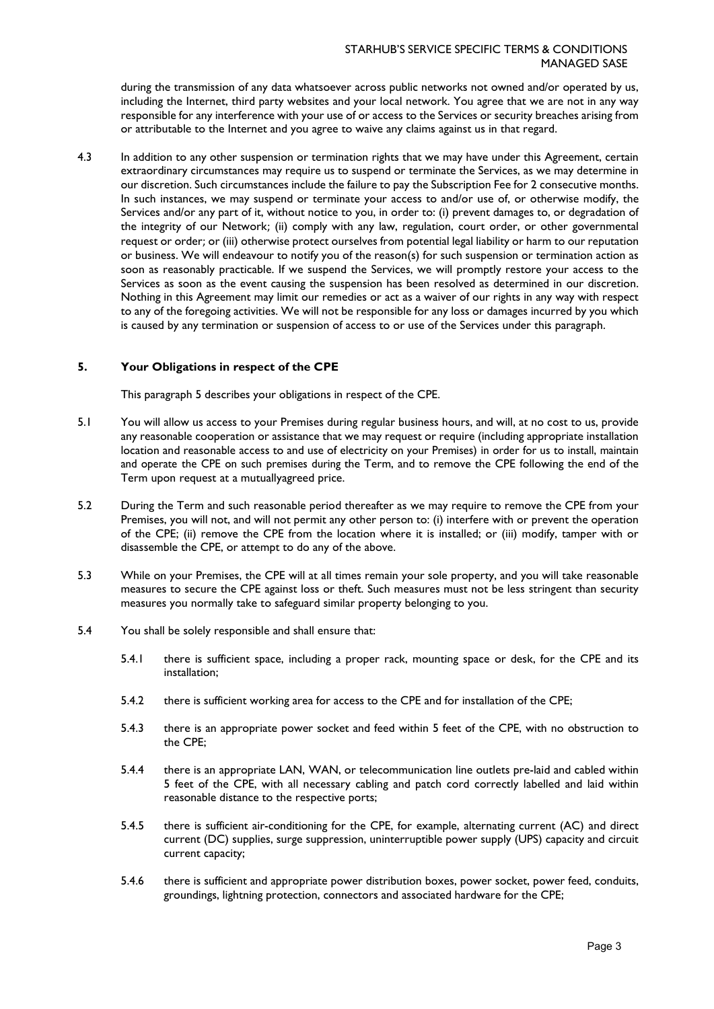during the transmission of any data whatsoever across public networks not owned and/or operated by us, including the Internet, third party websites and your local network. You agree that we are not in any way responsible for any interference with your use of or access to the Services or security breaches arising from or attributable to the Internet and you agree to waive any claims against us in that regard.

4.3 In addition to any other suspension or termination rights that we may have under this Agreement, certain extraordinary circumstances may require us to suspend or terminate the Services, as we may determine in our discretion. Such circumstances include the failure to pay the Subscription Fee for 2 consecutive months. In such instances, we may suspend or terminate your access to and/or use of, or otherwise modify, the Services and/or any part of it, without notice to you, in order to: (i) prevent damages to, or degradation of the integrity of our Network; (ii) comply with any law, regulation, court order, or other governmental request or order; or (iii) otherwise protect ourselves from potential legal liability or harm to our reputation or business. We will endeavour to notify you of the reason(s) for such suspension or termination action as soon as reasonably practicable. If we suspend the Services, we will promptly restore your access to the Services as soon as the event causing the suspension has been resolved as determined in our discretion. Nothing in this Agreement may limit our remedies or act as a waiver of our rights in any way with respect to any of the foregoing activities. We will not be responsible for any loss or damages incurred by you which is caused by any termination or suspension of access to or use of the Services under this paragraph.

# **5. Your Obligations in respect of the CPE**

This paragraph 5 describes your obligations in respect of the CPE.

- 5.1 You will allow us access to your Premises during regular business hours, and will, at no cost to us, provide any reasonable cooperation or assistance that we may request or require (including appropriate installation location and reasonable access to and use of electricity on your Premises) in order for us to install, maintain and operate the CPE on such premises during the Term, and to remove the CPE following the end of the Term upon request at a mutuallyagreed price.
- 5.2 During the Term and such reasonable period thereafter as we may require to remove the CPE from your Premises, you will not, and will not permit any other person to: (i) interfere with or prevent the operation of the CPE; (ii) remove the CPE from the location where it is installed; or (iii) modify, tamper with or disassemble the CPE, or attempt to do any of the above.
- 5.3 While on your Premises, the CPE will at all times remain your sole property, and you will take reasonable measures to secure the CPE against loss or theft. Such measures must not be less stringent than security measures you normally take to safeguard similar property belonging to you.
- 5.4 You shall be solely responsible and shall ensure that:
	- 5.4.1 there is sufficient space, including a proper rack, mounting space or desk, for the CPE and its installation;
	- 5.4.2 there is sufficient working area for access to the CPE and for installation of the CPE;
	- 5.4.3 there is an appropriate power socket and feed within 5 feet of the CPE, with no obstruction to the CPE;
	- 5.4.4 there is an appropriate LAN, WAN, or telecommunication line outlets pre-laid and cabled within 5 feet of the CPE, with all necessary cabling and patch cord correctly labelled and laid within reasonable distance to the respective ports;
	- 5.4.5 there is sufficient air-conditioning for the CPE, for example, alternating current (AC) and direct current (DC) supplies, surge suppression, uninterruptible power supply (UPS) capacity and circuit current capacity;
	- 5.4.6 there is sufficient and appropriate power distribution boxes, power socket, power feed, conduits, groundings, lightning protection, connectors and associated hardware for the CPE;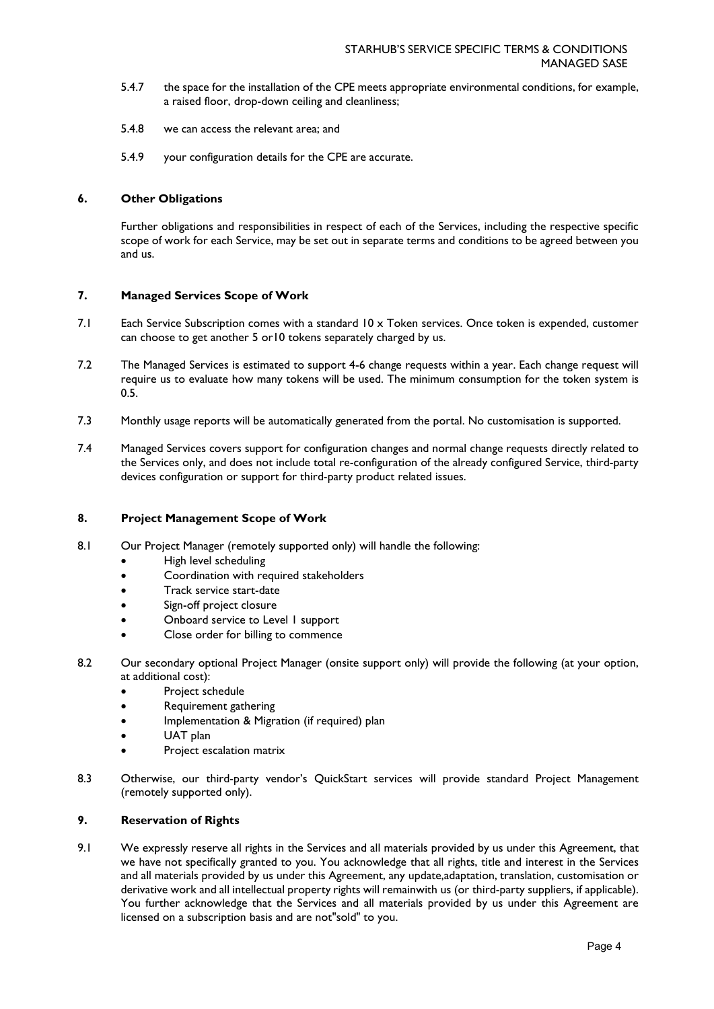- 5.4.7 the space for the installation of the CPE meets appropriate environmental conditions, for example, a raised floor, drop-down ceiling and cleanliness;
- 5.4.8 we can access the relevant area; and
- 5.4.9 your configuration details for the CPE are accurate.

### **6. Other Obligations**

Further obligations and responsibilities in respect of each of the Services, including the respective specific scope of work for each Service, may be set out in separate terms and conditions to be agreed between you and us.

#### **7. Managed Services Scope of Work**

- 7.1 Each Service Subscription comes with a standard 10 x Token services. Once token is expended, customer can choose to get another 5 or10 tokens separately charged by us.
- 7.2 The Managed Services is estimated to support 4-6 change requests within a year. Each change request will require us to evaluate how many tokens will be used. The minimum consumption for the token system is 0.5.
- 7.3 Monthly usage reports will be automatically generated from the portal. No customisation is supported.
- 7.4 Managed Services covers support for configuration changes and normal change requests directly related to the Services only, and does not include total re-configuration of the already configured Service, third-party devices configuration or support for third-party product related issues.

#### **8. Project Management Scope of Work**

- 8.1 Our Project Manager (remotely supported only) will handle the following:
	- High level scheduling
	- Coordination with required stakeholders
	- Track service start-date
	- Sign-off project closure
	- Onboard service to Level I support
	- Close order for billing to commence
- 8.2 Our secondary optional Project Manager (onsite support only) will provide the following (at your option, at additional cost):
	- Project schedule
	- Requirement gathering
	- Implementation & Migration (if required) plan
	- UAT plan
	- Project escalation matrix
- 8.3 Otherwise, our third-party vendor's QuickStart services will provide standard Project Management (remotely supported only).

### **9. Reservation of Rights**

9.1 We expressly reserve all rights in the Services and all materials provided by us under this Agreement, that we have not specifically granted to you. You acknowledge that all rights, title and interest in the Services and all materials provided by us under this Agreement, any update,adaptation, translation, customisation or derivative work and all intellectual property rights will remainwith us (or third-party suppliers, if applicable). You further acknowledge that the Services and all materials provided by us under this Agreement are licensed on a subscription basis and are not"sold" to you.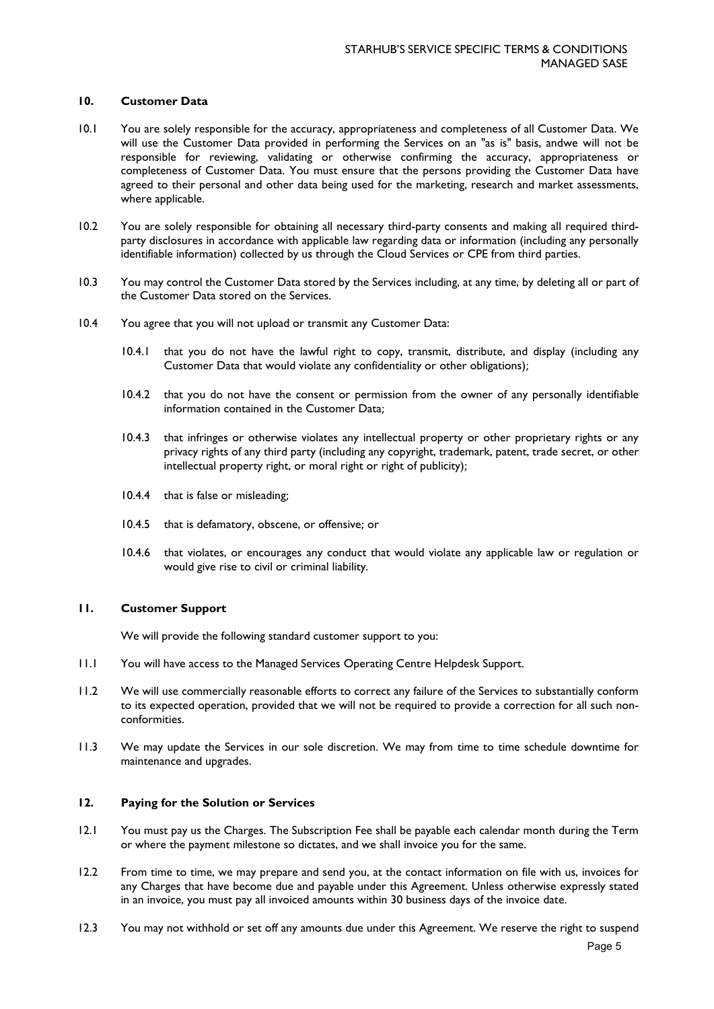#### **10. Customer Data**

- 10.1 You are solely responsible for the accuracy, appropriateness and completeness of all Customer Data. We will use the Customer Data provided in performing the Services on an "as is" basis, andwe will not be responsible for reviewing, validating or otherwise confirming the accuracy, appropriateness or completeness of Customer Data. You must ensure that the persons providing the Customer Data have agreed to their personal and other data being used for the marketing, research and market assessments, where applicable.
- 10.2 You are solely responsible for obtaining all necessary third-party consents and making all required thirdparty disclosures in accordance with applicable law regarding data or information (including any personally identifiable information) collected by us through the Cloud Services or CPE from third parties.
- 10.3 You may control the Customer Data stored by the Services including, at any time, by deleting all or part of the Customer Data stored on the Services.
- 10.4 You agree that you will not upload or transmit any Customer Data:
	- 10.4.1 that you do not have the lawful right to copy, transmit, distribute, and display (including any Customer Data that would violate any confidentiality or other obligations);
	- 10.4.2 that you do not have the consent or permission from the owner of any personally identifiable information contained in the Customer Data;
	- 10.4.3 that infringes or otherwise violates any intellectual property or other proprietary rights or any privacy rights of any third party (including any copyright, trademark, patent, trade secret, or other intellectual property right, or moral right or right of publicity);
	- 10.4.4 that is false or misleading;
	- 10.4.5 that is defamatory, obscene, or offensive; or
	- 10.4.6 that violates, or encourages any conduct that would violate any applicable law or regulation or would give rise to civil or criminal liability.

# **11. Customer Support**

We will provide the following standard customer support to you:

- 11.1 You will have access to the Managed Services Operating Centre Helpdesk Support.
- 11.2 We will use commercially reasonable efforts to correct any failure of the Services to substantially conform to its expected operation, provided that we will not be required to provide a correction for all such nonconformities.
- 11.3 We may update the Services in our sole discretion. We may from time to time schedule downtime for maintenance and upgrades.

# **12. Paying for the Solution or Services**

- 12.1 You must pay us the Charges. The Subscription Fee shall be payable each calendar month during the Term or where the payment milestone so dictates, and we shall invoice you for the same.
- 12.2 From time to time, we may prepare and send you, at the contact information on file with us, invoices for any Charges that have become due and payable under this Agreement. Unless otherwise expressly stated in an invoice, you must pay all invoiced amounts within 30 business days of the invoice date.
- 12.3 You may not withhold or set off any amounts due under this Agreement. We reserve the right to suspend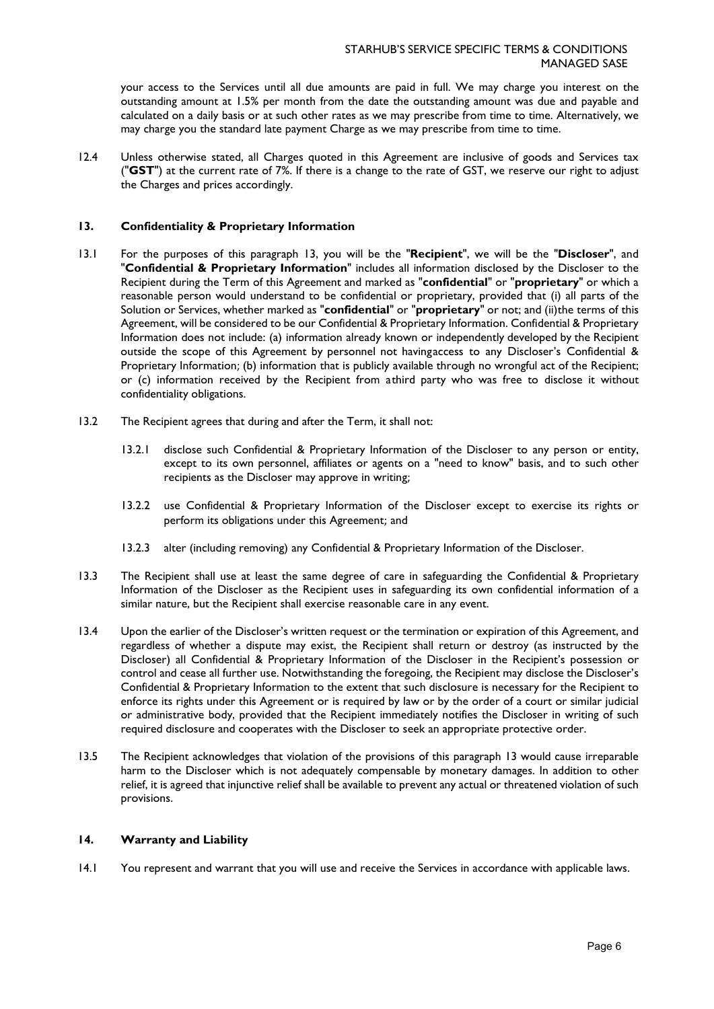your access to the Services until all due amounts are paid in full. We may charge you interest on the outstanding amount at 1.5% per month from the date the outstanding amount was due and payable and calculated on a daily basis or at such other rates as we may prescribe from time to time. Alternatively, we may charge you the standard late payment Charge as we may prescribe from time to time.

12.4 Unless otherwise stated, all Charges quoted in this Agreement are inclusive of goods and Services tax ("**GST**") at the current rate of 7%. If there is a change to the rate of GST, we reserve our right to adjust the Charges and prices accordingly.

# **13. Confidentiality & Proprietary Information**

- 13.1 For the purposes of this paragraph 13, you will be the "**Recipient**", we will be the "**Discloser**", and "**Confidential & Proprietary Information**" includes all information disclosed by the Discloser to the Recipient during the Term of this Agreement and marked as "**confidential**" or "**proprietary**" or which a reasonable person would understand to be confidential or proprietary, provided that (i) all parts of the Solution or Services, whether marked as "**confidential**" or "**proprietary**" or not; and (ii)the terms of this Agreement, will be considered to be our Confidential & Proprietary Information. Confidential & Proprietary Information does not include: (a) information already known or independently developed by the Recipient outside the scope of this Agreement by personnel not havingaccess to any Discloser's Confidential & Proprietary Information; (b) information that is publicly available through no wrongful act of the Recipient; or (c) information received by the Recipient from athird party who was free to disclose it without confidentiality obligations.
- 13.2 The Recipient agrees that during and after the Term, it shall not:
	- 13.2.1 disclose such Confidential & Proprietary Information of the Discloser to any person or entity, except to its own personnel, affiliates or agents on a "need to know" basis, and to such other recipients as the Discloser may approve in writing;
	- 13.2.2 use Confidential & Proprietary Information of the Discloser except to exercise its rights or perform its obligations under this Agreement; and
	- 13.2.3 alter (including removing) any Confidential & Proprietary Information of the Discloser.
- 13.3 The Recipient shall use at least the same degree of care in safeguarding the Confidential & Proprietary Information of the Discloser as the Recipient uses in safeguarding its own confidential information of a similar nature, but the Recipient shall exercise reasonable care in any event.
- 13.4 Upon the earlier of the Discloser's written request or the termination or expiration of this Agreement, and regardless of whether a dispute may exist, the Recipient shall return or destroy (as instructed by the Discloser) all Confidential & Proprietary Information of the Discloser in the Recipient's possession or control and cease all further use. Notwithstanding the foregoing, the Recipient may disclose the Discloser's Confidential & Proprietary Information to the extent that such disclosure is necessary for the Recipient to enforce its rights under this Agreement or is required by law or by the order of a court or similar judicial or administrative body, provided that the Recipient immediately notifies the Discloser in writing of such required disclosure and cooperates with the Discloser to seek an appropriate protective order.
- 13.5 The Recipient acknowledges that violation of the provisions of this paragraph 13 would cause irreparable harm to the Discloser which is not adequately compensable by monetary damages. In addition to other relief, it is agreed that injunctive relief shall be available to prevent any actual or threatened violation of such provisions.

#### **14. Warranty and Liability**

14.1 You represent and warrant that you will use and receive the Services in accordance with applicable laws.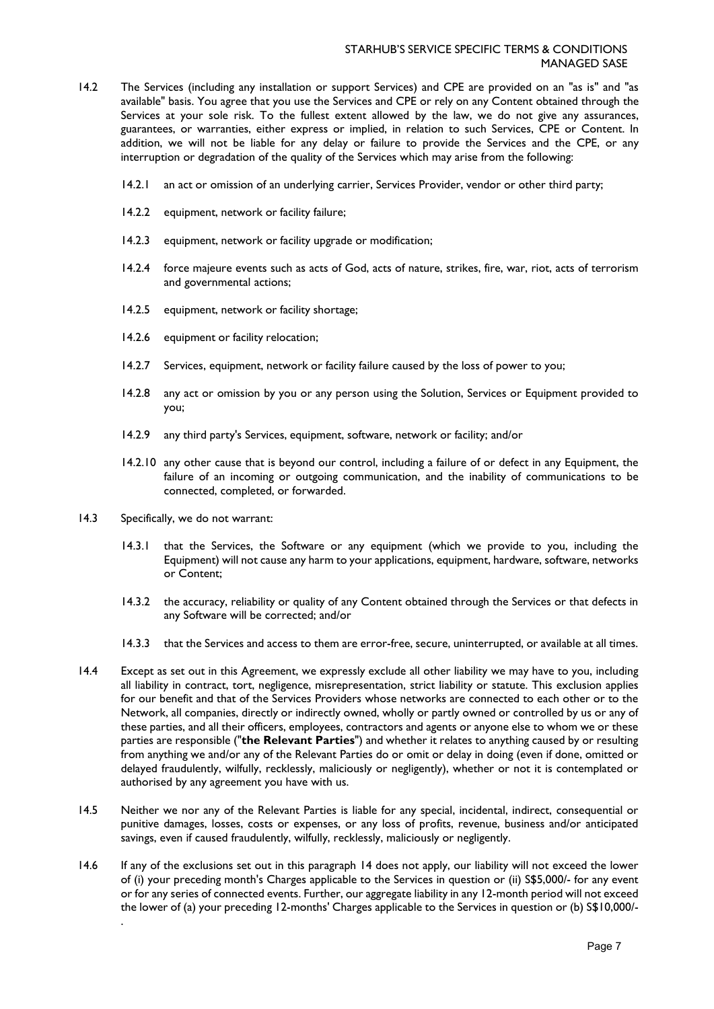- 14.2 The Services (including any installation or support Services) and CPE are provided on an "as is" and "as available" basis. You agree that you use the Services and CPE or rely on any Content obtained through the Services at your sole risk. To the fullest extent allowed by the law, we do not give any assurances, guarantees, or warranties, either express or implied, in relation to such Services, CPE or Content. In addition, we will not be liable for any delay or failure to provide the Services and the CPE, or any interruption or degradation of the quality of the Services which may arise from the following:
	- 14.2.1 an act or omission of an underlying carrier, Services Provider, vendor or other third party;
	- 14.2.2 equipment, network or facility failure;
	- 14.2.3 equipment, network or facility upgrade or modification;
	- 14.2.4 force majeure events such as acts of God, acts of nature, strikes, fire, war, riot, acts of terrorism and governmental actions;
	- 14.2.5 equipment, network or facility shortage;
	- 14.2.6 equipment or facility relocation;
	- 14.2.7 Services, equipment, network or facility failure caused by the loss of power to you;
	- 14.2.8 any act or omission by you or any person using the Solution, Services or Equipment provided to you;
	- 14.2.9 any third party's Services, equipment, software, network or facility; and/or
	- 14.2.10 any other cause that is beyond our control, including a failure of or defect in any Equipment, the failure of an incoming or outgoing communication, and the inability of communications to be connected, completed, or forwarded.
- 14.3 Specifically, we do not warrant:

.

- 14.3.1 that the Services, the Software or any equipment (which we provide to you, including the Equipment) will not cause any harm to your applications, equipment, hardware, software, networks or Content;
- 14.3.2 the accuracy, reliability or quality of any Content obtained through the Services or that defects in any Software will be corrected; and/or
- 14.3.3 that the Services and access to them are error-free, secure, uninterrupted, or available at all times.
- 14.4 Except as set out in this Agreement, we expressly exclude all other liability we may have to you, including all liability in contract, tort, negligence, misrepresentation, strict liability or statute. This exclusion applies for our benefit and that of the Services Providers whose networks are connected to each other or to the Network, all companies, directly or indirectly owned, wholly or partly owned or controlled by us or any of these parties, and all their officers, employees, contractors and agents or anyone else to whom we or these parties are responsible ("**the Relevant Parties**") and whether it relates to anything caused by or resulting from anything we and/or any of the Relevant Parties do or omit or delay in doing (even if done, omitted or delayed fraudulently, wilfully, recklessly, maliciously or negligently), whether or not it is contemplated or authorised by any agreement you have with us.
- 14.5 Neither we nor any of the Relevant Parties is liable for any special, incidental, indirect, consequential or punitive damages, losses, costs or expenses, or any loss of profits, revenue, business and/or anticipated savings, even if caused fraudulently, wilfully, recklessly, maliciously or negligently.
- 14.6 If any of the exclusions set out in this paragraph 14 does not apply, our liability will not exceed the lower of (i) your preceding month's Charges applicable to the Services in question or (ii) S\$5,000/- for any event or for any series of connected events. Further, our aggregate liability in any 12-month period will not exceed the lower of (a) your preceding 12-months' Charges applicable to the Services in question or (b) S\$10,000/-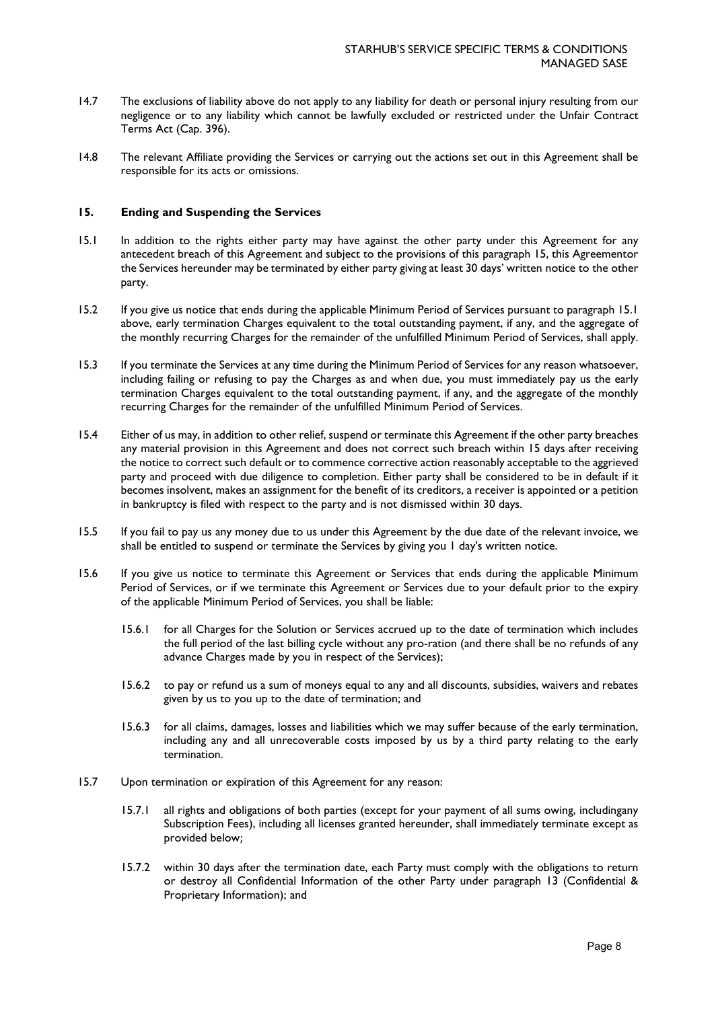- 14.7 The exclusions of liability above do not apply to any liability for death or personal injury resulting from our negligence or to any liability which cannot be lawfully excluded or restricted under the Unfair Contract Terms Act (Cap. 396).
- 14.8 The relevant Affiliate providing the Services or carrying out the actions set out in this Agreement shall be responsible for its acts or omissions.

### **15. Ending and Suspending the Services**

- 15.1 In addition to the rights either party may have against the other party under this Agreement for any antecedent breach of this Agreement and subject to the provisions of this paragraph 15, this Agreementor the Services hereunder may be terminated by either party giving at least 30 days' written notice to the other party.
- 15.2 If you give us notice that ends during the applicable Minimum Period of Services pursuant to paragraph 15.1 above, early termination Charges equivalent to the total outstanding payment, if any, and the aggregate of the monthly recurring Charges for the remainder of the unfulfilled Minimum Period of Services, shall apply.
- 15.3 If you terminate the Services at any time during the Minimum Period of Services for any reason whatsoever, including failing or refusing to pay the Charges as and when due, you must immediately pay us the early termination Charges equivalent to the total outstanding payment, if any, and the aggregate of the monthly recurring Charges for the remainder of the unfulfilled Minimum Period of Services.
- 15.4 Either of us may, in addition to other relief, suspend or terminate this Agreement if the other party breaches any material provision in this Agreement and does not correct such breach within 15 days after receiving the notice to correct such default or to commence corrective action reasonably acceptable to the aggrieved party and proceed with due diligence to completion. Either party shall be considered to be in default if it becomes insolvent, makes an assignment for the benefit of its creditors, a receiver is appointed or a petition in bankruptcy is filed with respect to the party and is not dismissed within 30 days.
- 15.5 If you fail to pay us any money due to us under this Agreement by the due date of the relevant invoice, we shall be entitled to suspend or terminate the Services by giving you 1 day's written notice.
- 15.6 If you give us notice to terminate this Agreement or Services that ends during the applicable Minimum Period of Services, or if we terminate this Agreement or Services due to your default prior to the expiry of the applicable Minimum Period of Services, you shall be liable:
	- 15.6.1 for all Charges for the Solution or Services accrued up to the date of termination which includes the full period of the last billing cycle without any pro-ration (and there shall be no refunds of any advance Charges made by you in respect of the Services);
	- 15.6.2 to pay or refund us a sum of moneys equal to any and all discounts, subsidies, waivers and rebates given by us to you up to the date of termination; and
	- 15.6.3 for all claims, damages, losses and liabilities which we may suffer because of the early termination, including any and all unrecoverable costs imposed by us by a third party relating to the early termination.
- 15.7 Upon termination or expiration of this Agreement for any reason:
	- 15.7.1 all rights and obligations of both parties (except for your payment of all sums owing, includingany Subscription Fees), including all licenses granted hereunder, shall immediately terminate except as provided below;
	- 15.7.2 within 30 days after the termination date, each Party must comply with the obligations to return or destroy all Confidential Information of the other Party under paragraph 13 (Confidential & Proprietary Information); and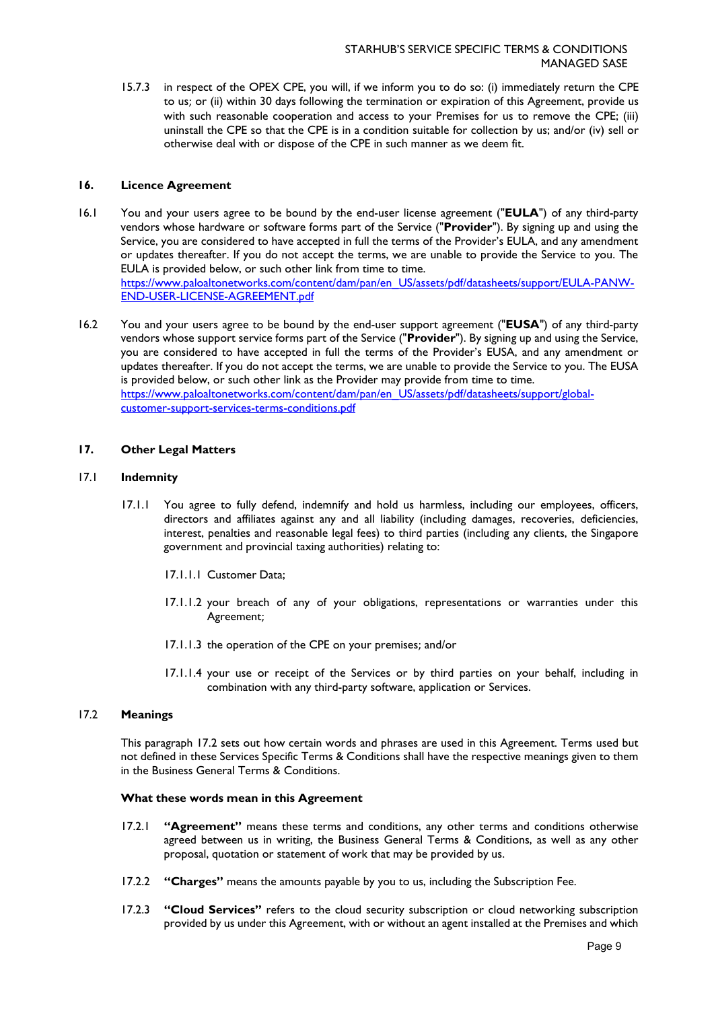15.7.3 in respect of the OPEX CPE, you will, if we inform you to do so: (i) immediately return the CPE to us; or (ii) within 30 days following the termination or expiration of this Agreement, provide us with such reasonable cooperation and access to your Premises for us to remove the CPE; (iii) uninstall the CPE so that the CPE is in a condition suitable for collection by us; and/or (iv) sell or otherwise deal with or dispose of the CPE in such manner as we deem fit.

# **16. Licence Agreement**

- 16.1 You and your users agree to be bound by the end-user license agreement ("**EULA**") of any third-party vendors whose hardware or software forms part of the Service ("**Provider**"). By signing up and using the Service, you are considered to have accepted in full the terms of the Provider's EULA, and any amendment or updates thereafter. If you do not accept the terms, we are unable to provide the Service to you. The EULA is provided below, or such other link from time to time. [https://www.paloaltonetworks.com/content/dam/pan/en\\_US/assets/pdf/datasheets/support/EULA-PANW-](https://www.paloaltonetworks.com/content/dam/pan/en_US/assets/pdf/datasheets/support/EULA-PANW-END-USER-LICENSE-AGREEMENT.pdf)[END-USER-LICENSE-AGREEMENT.pdf](https://www.paloaltonetworks.com/content/dam/pan/en_US/assets/pdf/datasheets/support/EULA-PANW-END-USER-LICENSE-AGREEMENT.pdf)
- 16.2 You and your users agree to be bound by the end-user support agreement ("**EUSA**") of any third-party vendors whose support service forms part of the Service ("**Provider**"). By signing up and using the Service, you are considered to have accepted in full the terms of the Provider's EUSA, and any amendment or updates thereafter. If you do not accept the terms, we are unable to provide the Service to you. The EUSA is provided below, or such other link as the Provider may provide from time to time. [https://www.paloaltonetworks.com/content/dam/pan/en\\_US/assets/pdf/datasheets/support/global](https://www.paloaltonetworks.com/content/dam/pan/en_US/assets/pdf/datasheets/support/global-customer-support-services-terms-conditions.pdf)[customer-support-services-terms-conditions.pdf](https://www.paloaltonetworks.com/content/dam/pan/en_US/assets/pdf/datasheets/support/global-customer-support-services-terms-conditions.pdf)

# **17. Other Legal Matters**

#### 17.1 **Indemnity**

- 17.1.1 You agree to fully defend, indemnify and hold us harmless, including our employees, officers, directors and affiliates against any and all liability (including damages, recoveries, deficiencies, interest, penalties and reasonable legal fees) to third parties (including any clients, the Singapore government and provincial taxing authorities) relating to:
	- 17.1.1.1 Customer Data;
	- 17.1.1.2 your breach of any of your obligations, representations or warranties under this Agreement;
	- 17.1.1.3 the operation of the CPE on your premises; and/or
	- 17.1.1.4 your use or receipt of the Services or by third parties on your behalf, including in combination with any third-party software, application or Services.

# 17.2 **Meanings**

This paragraph 17.2 sets out how certain words and phrases are used in this Agreement. Terms used but not defined in these Services Specific Terms & Conditions shall have the respective meanings given to them in the Business General Terms & Conditions.

### **What these words mean in this Agreement**

- 17.2.1 **"Agreement"** means these terms and conditions, any other terms and conditions otherwise agreed between us in writing, the Business General Terms & Conditions, as well as any other proposal, quotation or statement of work that may be provided by us.
- 17.2.2 **"Charges"** means the amounts payable by you to us, including the Subscription Fee.
- 17.2.3 **"Cloud Services"** refers to the cloud security subscription or cloud networking subscription provided by us under this Agreement, with or without an agent installed at the Premises and which